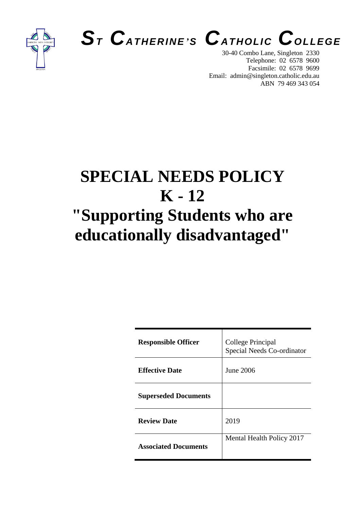





30-40 Combo Lane, Singleton 2330 Telephone: 02 6578 9600 Facsimile: 02 6578 9699 Email: admin@singleton.catholic.edu.au ABN 79 469 343 054

# **SPECIAL NEEDS POLICY K - 12 "Supporting Students who are educationally disadvantaged"**

| <b>Responsible Officer</b>  | College Principal<br>Special Needs Co-ordinator |
|-----------------------------|-------------------------------------------------|
| <b>Effective Date</b>       | June 2006                                       |
| <b>Superseded Documents</b> |                                                 |
| <b>Review Date</b>          | 2019                                            |
| <b>Associated Documents</b> | Mental Health Policy 2017                       |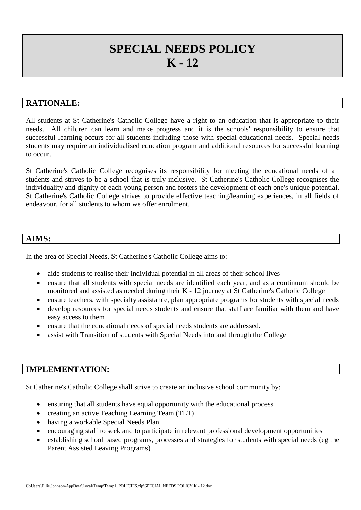# **SPECIAL NEEDS POLICY K - 12**

### **RATIONALE:**

All students at St Catherine's Catholic College have a right to an education that is appropriate to their needs. All children can learn and make progress and it is the schools' responsibility to ensure that successful learning occurs for all students including those with special educational needs. Special needs students may require an individualised education program and additional resources for successful learning to occur.

St Catherine's Catholic College recognises its responsibility for meeting the educational needs of all students and strives to be a school that is truly inclusive. St Catherine's Catholic College recognises the individuality and dignity of each young person and fosters the development of each one's unique potential. St Catherine's Catholic College strives to provide effective teaching/learning experiences, in all fields of endeavour, for all students to whom we offer enrolment.

#### **AIMS:**

In the area of Special Needs, St Catherine's Catholic College aims to:

- aide students to realise their individual potential in all areas of their school lives
- ensure that all students with special needs are identified each year, and as a continuum should be monitored and assisted as needed during their K - 12 journey at St Catherine's Catholic College
- ensure teachers, with specialty assistance, plan appropriate programs for students with special needs
- develop resources for special needs students and ensure that staff are familiar with them and have easy access to them
- ensure that the educational needs of special needs students are addressed.
- assist with Transition of students with Special Needs into and through the College

## **IMPLEMENTATION:**

St Catherine's Catholic College shall strive to create an inclusive school community by:

- ensuring that all students have equal opportunity with the educational process
- creating an active Teaching Learning Team (TLT)
- having a workable Special Needs Plan
- encouraging staff to seek and to participate in relevant professional development opportunities
- establishing school based programs, processes and strategies for students with special needs (eg the Parent Assisted Leaving Programs)